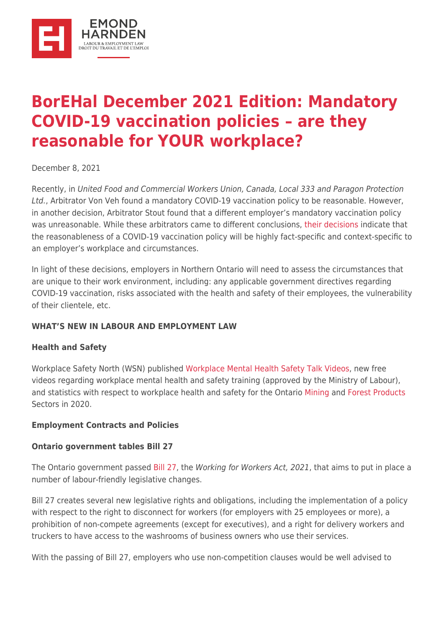

# **[BorEHal December 2021 Edition: Mandatory](https://ehlaw.ca/borehal-december-2021-edition-mandatory-covid-19-vaccination-policies-are-they-reasonable-for-your-workplace/) [COVID-19 vaccination policies – are they](https://ehlaw.ca/borehal-december-2021-edition-mandatory-covid-19-vaccination-policies-are-they-reasonable-for-your-workplace/) [reasonable for YOUR workplace?](https://ehlaw.ca/borehal-december-2021-edition-mandatory-covid-19-vaccination-policies-are-they-reasonable-for-your-workplace/)**

December 8, 2021

Recently, in United Food and Commercial Workers Union, Canada, Local 333 and Paragon Protection Ltd., Arbitrator Von Veh found a mandatory COVID-19 vaccination policy to be reasonable. However, in another decision, Arbitrator Stout found that a different employer's mandatory vaccination policy was unreasonable. While these arbitrators came to different conclusions, [their decisions i](https://www.ehlaw.ca/ontario-arbitrators-come-to-different-conclusions-with-respect-to-whether-mandatory-covid-19-vaccination-policies-were-reasonable/)ndicate that the reasonableness of a COVID-19 vaccination policy will be highly fact-specific and context-specific to an employer's workplace and circumstances.

In light of these decisions, employers in Northern Ontario will need to assess the circumstances that are unique to their work environment, including: any applicable government directives regarding COVID-19 vaccination, risks associated with the health and safety of their employees, the vulnerability of their clientele, etc.

## **WHAT'S NEW IN LABOUR AND EMPLOYMENT LAW**

#### **Health and Safety**

Workplace Safety North (WSN) published [Workplace Mental Health Safety Talk Videos,](https://www.workplacesafetynorth.ca/workplace-mental-health-safety-talk-videos?mc_cid=2e7a5da430&mc_eid=0ea4eca1e7) new free videos regarding workplace mental health and safety training (approved by the Ministry of Labour), and statistics with respect to workplace health and safety for the Ontario [Mining](https://www.workplacesafetynorth.ca/resources/mining-statistics?mc_cid=2e7a5da430&mc_eid=0ea4eca1e7) and [Forest Products](https://www.workplacesafetynorth.ca/resources/forestry-statistics?mc_cid=2e7a5da430&mc_eid=0ea4eca1e7) Sectors in 2020.

#### **Employment Contracts and Policies**

#### **Ontario government tables Bill 27**

The Ontario government passed [Bill 27,](https://www.ola.org/en/legislative-business/bills/parliament-42/session-2/bill-27) the Working for Workers Act, 2021, that aims to put in place a number of labour-friendly legislative changes.

Bill 27 creates several new legislative rights and obligations, including the implementation of a policy with respect to the right to disconnect for workers (for employers with 25 employees or more), a prohibition of non-compete agreements (except for executives), and a right for delivery workers and truckers to have access to the washrooms of business owners who use their services.

With the passing of Bill 27, employers who use non-competition clauses would be well advised to